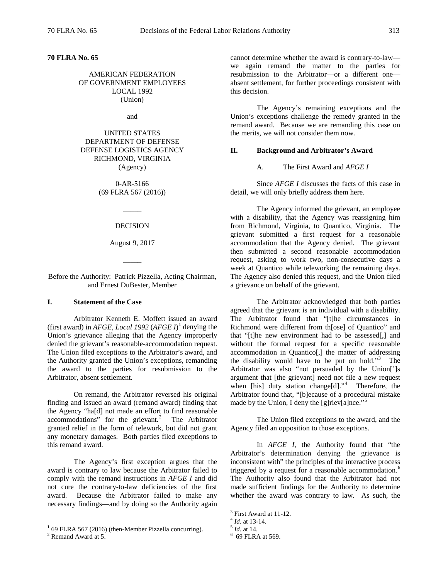**70 FLRA No. 65** 

## AMERICAN FEDERATION OF GOVERNMENT EMPLOYEES LOCAL 1992 (Union)

and

## UNITED STATES DEPARTMENT OF DEFENSE DEFENSE LOGISTICS AGENCY RICHMOND, VIRGINIA (Agency)

0-AR-5166 (69 FLRA 567 (2016))

> $\overline{\phantom{a}}$ DECISION

## August 9, 2017

Before the Authority: Patrick Pizzella, Acting Chairman, and Ernest DuBester, Member

 $\overline{\phantom{a}}$ 

## **I. Statement of the Case**

Arbitrator Kenneth E. Moffett issued an award (first award) in *AFGE, Local [1](#page-0-0)992*  $(AFGE I)^{1}$  denying the Union's grievance alleging that the Agency improperly denied the grievant's reasonable-accommodation request. The Union filed exceptions to the Arbitrator's award, and the Authority granted the Union's exceptions, remanding the award to the parties for resubmission to the Arbitrator, absent settlement.

On remand, the Arbitrator reversed his original finding and issued an award (remand award) finding that the Agency "ha[d] not made an effort to find reasonable  $accommodations'$  for the grievant.<sup>[2](#page-0-1)</sup> The Arbitrator granted relief in the form of telework, but did not grant any monetary damages. Both parties filed exceptions to this remand award.

The Agency's first exception argues that the award is contrary to law because the Arbitrator failed to comply with the remand instructions in *AFGE I* and did not cure the contrary-to-law deficiencies of the first award. Because the Arbitrator failed to make any necessary findings—and by doing so the Authority again

cannot determine whether the award is contrary-to-law we again remand the matter to the parties for resubmission to the Arbitrator—or a different one absent settlement, for further proceedings consistent with this decision.

The Agency's remaining exceptions and the Union's exceptions challenge the remedy granted in the remand award. Because we are remanding this case on the merits, we will not consider them now.

## **II. Background and Arbitrator's Award**

#### A. The First Award and *AFGE I*

Since *AFGE I* discusses the facts of this case in detail, we will only briefly address them here.

The Agency informed the grievant, an employee with a disability, that the Agency was reassigning him from Richmond, Virginia, to Quantico, Virginia. The grievant submitted a first request for a reasonable accommodation that the Agency denied. The grievant then submitted a second reasonable accommodation request, asking to work two, non-consecutive days a week at Quantico while teleworking the remaining days. The Agency also denied this request, and the Union filed a grievance on behalf of the grievant.

The Arbitrator acknowledged that both parties agreed that the grievant is an individual with a disability. The Arbitrator found that "[t]he circumstances in Richmond were different from th[ose] of Quantico" and that "[t]he new environment had to be assessed[,] and without the formal request for a specific reasonable accommodation in Quantico[,] the matter of addressing the disability would have to be put on hold."[3](#page-0-2) The Arbitrator was also "not persuaded by the Union<sup>[']</sup>s argument that [the grievant] need not file a new request when [his] duty station change[d]."<sup>[4](#page-0-3)</sup> Therefore, the Arbitrator found that, "[b]ecause of a procedural mistake made by the Union, I deny the [g]riev[a]nce."<sup>[5](#page-0-0)</sup>

The Union filed exceptions to the award, and the Agency filed an opposition to those exceptions.

In *AFGE I*, the Authority found that "the Arbitrator's determination denying the grievance is inconsistent with" the principles of the interactive process triggered by a request for a reasonable accommodation.<sup>[6](#page-0-1)</sup> The Authority also found that the Arbitrator had not made sufficient findings for the Authority to determine whether the award was contrary to law. As such, the

<span id="page-0-3"></span><span id="page-0-2"></span><span id="page-0-1"></span><span id="page-0-0"></span> $^1$  69 FLRA 567 (2016) (then-Member Pizzella concurring).  $^2$  Remand Award at 5.

<sup>3</sup> First Award at 11-12. <sup>4</sup> *Id.* at 13-14. <sup>5</sup> *Id.* at 14. <sup>6</sup>

 $6$  69 FLRA at 569.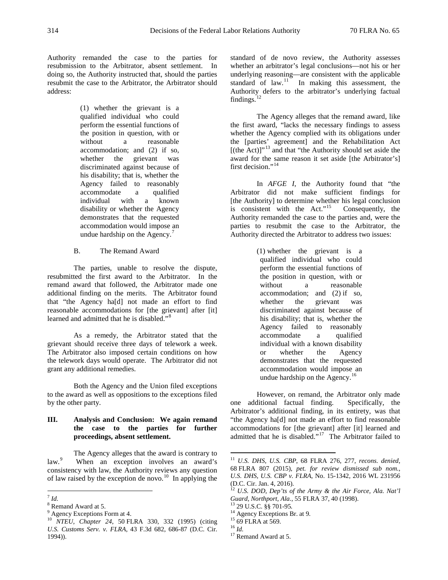Authority remanded the case to the parties for resubmission to the Arbitrator, absent settlement. In doing so, the Authority instructed that, should the parties resubmit the case to the Arbitrator, the Arbitrator should address:

> (1) whether the grievant is a qualified individual who could perform the essential functions of the position in question, with or without a reasonable accommodation; and (2) if so, whether the grievant was discriminated against because of his disability; that is, whether the Agency failed to reasonably accommodate a qualified individual with a known disability or whether the Agency demonstrates that the requested accommodation would impose an undue hardship on the Agency.<sup>[7](#page-1-0)</sup>

B. The Remand Award

The parties, unable to resolve the dispute, resubmitted the first award to the Arbitrator. In the remand award that followed, the Arbitrator made one additional finding on the merits. The Arbitrator found that "the Agency ha[d] not made an effort to find reasonable accommodations for [the grievant] after [it] learned and admitted that he is disabled."<sup>[8](#page-1-1)</sup>

As a remedy, the Arbitrator stated that the grievant should receive three days of telework a week. The Arbitrator also imposed certain conditions on how the telework days would operate. The Arbitrator did not grant any additional remedies.

Both the Agency and the Union filed exceptions to the award as well as oppositions to the exceptions filed by the other party.

## **III. Analysis and Conclusion: We again remand the case to the parties for further proceedings, absent settlement.**

<span id="page-1-4"></span>The Agency alleges that the award is contrary to  $law.<sup>9</sup>$  $law.<sup>9</sup>$  $law.<sup>9</sup>$  When an exception involves an award's consistency with law, the Authority reviews any question of law raised by the exception de novo.<sup>10</sup> In applying the standard of de novo review, the Authority assesses whether an arbitrator's legal conclusions—not his or her underlying reasoning—are consistent with the applicable standard of  $law$ <sup>11</sup> In making this assessment, the Authority defers to the arbitrator's underlying factual findings. $^{12}$  $^{12}$  $^{12}$ 

The Agency alleges that the remand award, like the first award, "lacks the necessary findings to assess whether the Agency complied with its obligations under the [parties' agreement] and the Rehabilitation Act  $[(the Act)]^{13}$  $[(the Act)]^{13}$  $[(the Act)]^{13}$  and that "the Authority should set aside the award for the same reason it set aside [the Arbitrator's] first decision."<sup>[14](#page-1-2)</sup>

In *AFGE I*, the Authority found that "the Arbitrator did not make sufficient findings for [the Authority] to determine whether his legal conclusion is consistent with the Act."[15](#page-1-3) Consequently, the Authority remanded the case to the parties and, were the parties to resubmit the case to the Arbitrator, the Authority directed the Arbitrator to address two issues:

> (1) whether the grievant is a qualified individual who could perform the essential functions of the position in question, with or without a reasonable accommodation; and (2) if so, whether the grievant was discriminated against because of his disability; that is, whether the Agency failed to reasonably accommodate a qualified individual with a known disability or whether the Agency demonstrates that the requested accommodation would impose an undue hardship on the Agency.<sup>[16](#page-1-6)</sup>

However, on remand, the Arbitrator only made one additional factual finding. Specifically, the Arbitrator's additional finding, in its entirety, was that "the Agency ha[d] not made an effort to find reasonable accommodations for [the grievant] after [it] learned and admitted that he is disabled."[17](#page-1-7) The Arbitrator failed to

<span id="page-1-5"></span><span id="page-1-0"></span> $^7$  *Id.* 

<span id="page-1-1"></span><sup>8</sup> Remand Award at 5.

<span id="page-1-2"></span>Agency Exceptions Form at 4.

<span id="page-1-7"></span><span id="page-1-6"></span><span id="page-1-3"></span><sup>10</sup> *NTEU, Chapter 24*, 50 FLRA 330, 332 (1995) (citing *U.S. Customs Serv. v. FLRA*, 43 F.3d 682, 686-87 (D.C. Cir. 1994)).

 <sup>11</sup> *U.S. DHS, U.S. CBP*, 68 FLRA 276, 277, *recons. denied*, 68 FLRA 807 (2015), *pet. for review dismissed sub nom.*, *U.S. DHS, U.S. CBP v. FLRA*, No. 15-1342, 2016 WL 231956 (D.C. Cir. Jan. 4, 2016).

<sup>&</sup>lt;sup>12</sup> *U.S. DOD, Dep'ts of the Army & the Air Force, Ala. Nat'l Guard, Northport, Ala., 55 FLRA 37, 40 (1998).* 

<sup>&</sup>lt;sup>13</sup> 29 U.S.C. §§ 701-95.<br><sup>14</sup> Agency Exceptions Br. at 9.<br><sup>15</sup> 69 FLRA at 569. <sup>16</sup> *Id.* <sup>17</sup> Remand Award at 5.